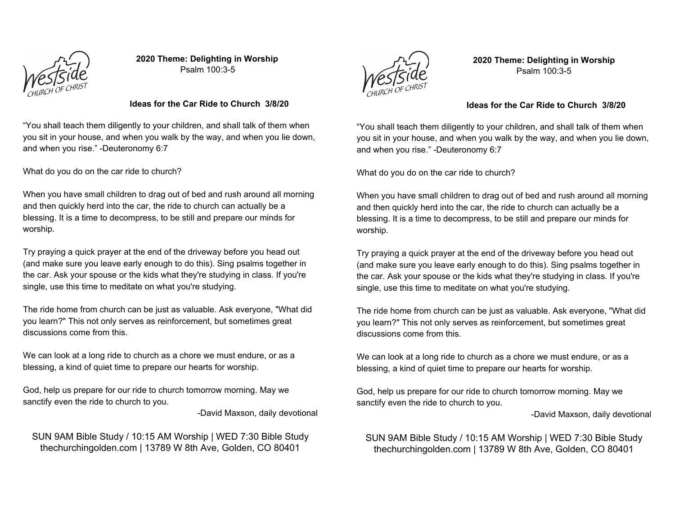

**2020 Theme: Delighting in Worship** Psalm 100:3-5

#### **Ideas for the Car Ride to Church 3/8/20**

"You shall teach them diligently to your children, and shall talk of them when you sit in your house, and when you walk by the way, and when you lie down, and when you rise." -Deuteronomy 6:7

What do you do on the car ride to church?

When you have small children to drag out of bed and rush around all morning and then quickly herd into the car, the ride to church can actually be a blessing. It is a time to decompress, to be still and prepare our minds for worship.

Try praying a quick prayer at the end of the driveway before you head out (and make sure you leave early enough to do this). Sing psalms together in the car. Ask your spouse or the kids what they're studying in class. If you're single, use this time to meditate on what you're studying.

The ride home from church can be just as valuable. Ask everyone, "What did you learn?" This not only serves as reinforcement, but sometimes great discussions come from this.

We can look at a long ride to church as a chore we must endure, or as a blessing, a kind of quiet time to prepare our hearts for worship.

God, help us prepare for our ride to church tomorrow morning. May we sanctify even the ride to church to you.

-David Maxson, daily devotional

# SUN 9AM Bible Study / 10:15 AM Worship | WED 7:30 Bible Study thechurchingolden.com | 13789 W 8th Ave, Golden, CO 80401



**2020 Theme: Delighting in Worship** Psalm 100:3-5

#### **Ideas for the Car Ride to Church 3/8/20**

"You shall teach them diligently to your children, and shall talk of them when you sit in your house, and when you walk by the way, and when you lie down, and when you rise." -Deuteronomy 6:7

What do you do on the car ride to church?

When you have small children to drag out of bed and rush around all morning and then quickly herd into the car, the ride to church can actually be a blessing. It is a time to decompress, to be still and prepare our minds for worship.

Try praying a quick prayer at the end of the driveway before you head out (and make sure you leave early enough to do this). Sing psalms together in the car. Ask your spouse or the kids what they're studying in class. If you're single, use this time to meditate on what you're studying.

The ride home from church can be just as valuable. Ask everyone, "What did you learn?" This not only serves as reinforcement, but sometimes great discussions come from this.

We can look at a long ride to church as a chore we must endure, or as a blessing, a kind of quiet time to prepare our hearts for worship.

God, help us prepare for our ride to church tomorrow morning. May we sanctify even the ride to church to you.

-David Maxson, daily devotional

SUN 9AM Bible Study / 10:15 AM Worship | WED 7:30 Bible Study thechurchingolden.com | 13789 W 8th Ave, Golden, CO 80401